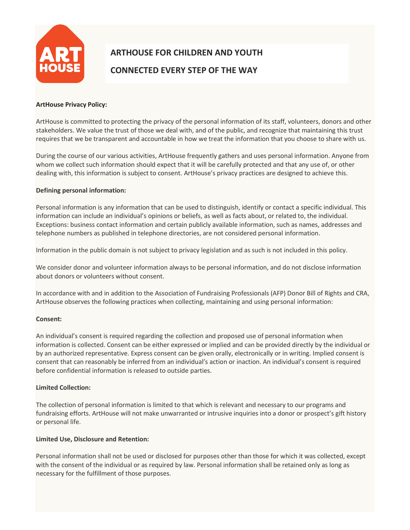

# **ARTHOUSE FOR CHILDREN AND YOUTH CONNECTED EVERY STEP OF THE WAY**

## **ArtHouse Privacy Policy:**

ArtHouse is committed to protecting the privacy of the personal information of its staff, volunteers, donors and other stakeholders. We value the trust of those we deal with, and of the public, and recognize that maintaining this trust requires that we be transparent and accountable in how we treat the information that you choose to share with us.

During the course of our various activities, ArtHouse frequently gathers and uses personal information. Anyone from whom we collect such information should expect that it will be carefully protected and that any use of, or other dealing with, this information is subject to consent. ArtHouse's privacy practices are designed to achieve this.

## **Defining personal information:**

Personal information is any information that can be used to distinguish, identify or contact a specific individual. This information can include an individual's opinions or beliefs, as well as facts about, or related to, the individual. Exceptions: business contact information and certain publicly available information, such as names, addresses and telephone numbers as published in telephone directories, are not considered personal information.

Information in the public domain is not subject to privacy legislation and as such is not included in this policy.

We consider donor and volunteer information always to be personal information, and do not disclose information about donors or volunteers without consent.

In accordance with and in addition to the Association of Fundraising Professionals (AFP) Donor Bill of Rights and CRA, ArtHouse observes the following practices when collecting, maintaining and using personal information:

## **Consent:**

An individual's consent is required regarding the collection and proposed use of personal information when information is collected. Consent can be either expressed or implied and can be provided directly by the individual or by an authorized representative. Express consent can be given orally, electronically or in writing. Implied consent is consent that can reasonably be inferred from an individual's action or inaction. An individual's consent is required before confidential information is released to outside parties.

## **Limited Collection:**

The collection of personal information is limited to that which is relevant and necessary to our programs and fundraising efforts. ArtHouse will not make unwarranted or intrusive inquiries into a donor or prospect's gift history or personal life.

## **Limited Use, Disclosure and Retention:**

Personal information shall not be used or disclosed for purposes other than those for which it was collected, except with the consent of the individual or as required by law. Personal information shall be retained only as long as necessary for the fulfillment of those purposes.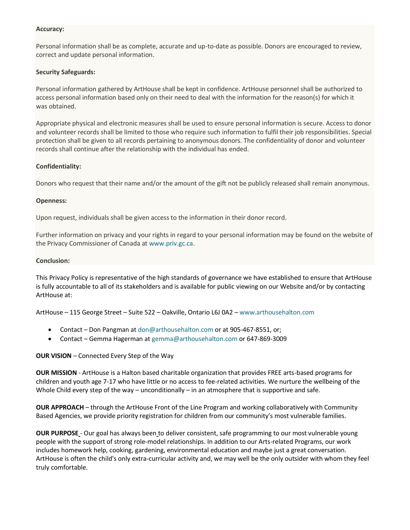## **Accuracy:**

Personal information shall be as complete, accurate and up-to-date as possible. Donors are encouraged to review, correct and update personal information.

# **Security Safeguards:**

Personal information gathered by ArtHouse shall be kept in confidence. ArtHouse personnel shall be authorized to access personal information based only on their need to deal with the information for the reason(s) for which it was obtained.

Appropriate physical and electronic measures shall be used to ensure personal information is secure. Access to donor and volunteer records shall be limited to those who require such information to fulfil their job responsibilities. Special protection shall be given to all records pertaining to anonymous donors. The confidentiality of donor and volunteer records shall continue after the relationship with the individual has ended.

# **Confidentiality:**

Donors who request that their name and/or the amount of the gift not be publicly released shall remain anonymous.

# **Openness:**

Upon request, individuals shall be given access to the information in their donor record.

Further information on privacy and your rights in regard to your personal information may be found on the website of the Privacy Commissioner of Canada a[t www.priv.gc.ca.](http://www.priv.gc.ca/)

## **Conclusion:**

This Privacy Policy is representative of the high standards of governance we have established to ensure that ArtHouse is fully accountable to all of its stakeholders and is available for public viewing on our Website and/or by contacting ArtHouse at:

ArtHouse – 115 George Street – Suite 522 – Oakville, Ontario L6J 0A2 – [www.arthouseh](http://www.arthouse/)alton.com

- Contact Don Pangman at [don@arthousehalton.com](mailto:don@arthousehalton.com) or at 905-467-8551, or;
- Contact Gemma Hagerman a[t gemma@arthousehalton.com](mailto:gemma@arthousehalton.com) or 647-869-3009

# **OUR VISION** – Connected Every Step of the Way

**OUR MISSION** - ArtHouse is a Halton based charitable organization that provides FREE arts-based programs for children and youth age 7-17 who have little or no access to fee-related activities. We nurture the wellbeing of the Whole Child every step of the way – unconditionally – in an atmosphere that is supportive and safe.

**OUR APPROACH** – through the ArtHouse Front of the Line Program and working collaboratively with Community Based Agencies, we provide priority registration for children from our community's most vulnerable families.

**OUR PURPOSE** - Our goal has always been to deliver consistent, safe programming to our most vulnerable young people with the support of strong role-model relationships. In addition to our Arts-related Programs, our work includes homework help, cooking, gardening, environmental education and maybe just a great conversation. ArtHouse is often the child's only extra-curricular activity and, we may well be the only outsider with whom they feel truly comfortable.